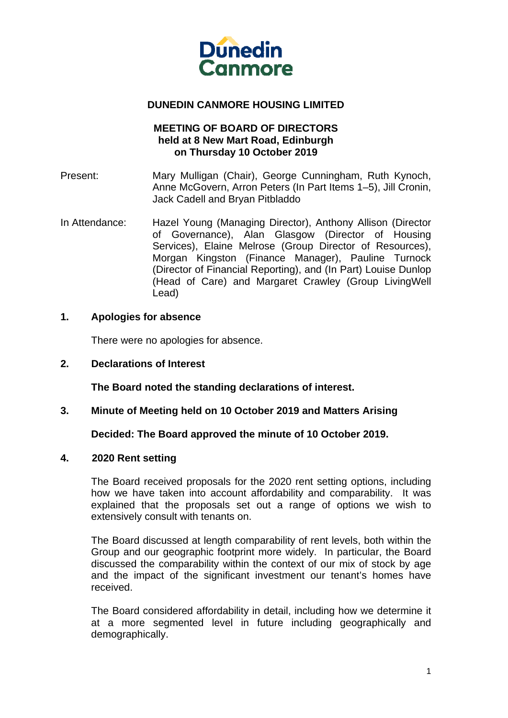

### **DUNEDIN CANMORE HOUSING LIMITED**

## **MEETING OF BOARD OF DIRECTORS held at 8 New Mart Road, Edinburgh on Thursday 10 October 2019**

- Present: Mary Mulligan (Chair), George Cunningham, Ruth Kynoch, Anne McGovern, Arron Peters (In Part Items 1–5), Jill Cronin, Jack Cadell and Bryan Pitbladdo
- In Attendance: Hazel Young (Managing Director), Anthony Allison (Director of Governance), Alan Glasgow (Director of Housing Services), Elaine Melrose (Group Director of Resources), Morgan Kingston (Finance Manager), Pauline Turnock (Director of Financial Reporting), and (In Part) Louise Dunlop (Head of Care) and Margaret Crawley (Group LivingWell Lead)

### **1. Apologies for absence**

There were no apologies for absence.

**2. Declarations of Interest** 

 **The Board noted the standing declarations of interest.** 

**3. Minute of Meeting held on 10 October 2019 and Matters Arising** 

**Decided: The Board approved the minute of 10 October 2019.**

#### **4. 2020 Rent setting**

The Board received proposals for the 2020 rent setting options, including how we have taken into account affordability and comparability. It was explained that the proposals set out a range of options we wish to extensively consult with tenants on.

The Board discussed at length comparability of rent levels, both within the Group and our geographic footprint more widely. In particular, the Board discussed the comparability within the context of our mix of stock by age and the impact of the significant investment our tenant's homes have received.

The Board considered affordability in detail, including how we determine it at a more segmented level in future including geographically and demographically.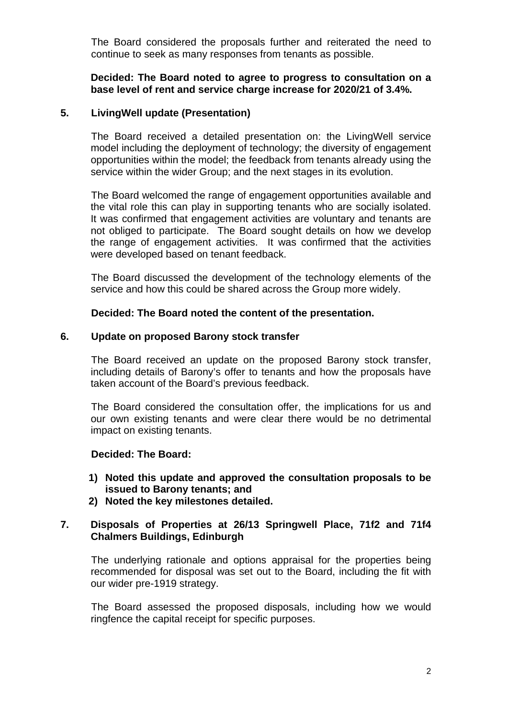The Board considered the proposals further and reiterated the need to continue to seek as many responses from tenants as possible.

### **Decided: The Board noted to agree to progress to consultation on a base level of rent and service charge increase for 2020/21 of 3.4%.**

### **5. LivingWell update (Presentation)**

The Board received a detailed presentation on: the LivingWell service model including the deployment of technology; the diversity of engagement opportunities within the model; the feedback from tenants already using the service within the wider Group; and the next stages in its evolution.

The Board welcomed the range of engagement opportunities available and the vital role this can play in supporting tenants who are socially isolated. It was confirmed that engagement activities are voluntary and tenants are not obliged to participate. The Board sought details on how we develop the range of engagement activities. It was confirmed that the activities were developed based on tenant feedback.

The Board discussed the development of the technology elements of the service and how this could be shared across the Group more widely.

### **Decided: The Board noted the content of the presentation.**

#### **6. Update on proposed Barony stock transfer**

The Board received an update on the proposed Barony stock transfer, including details of Barony's offer to tenants and how the proposals have taken account of the Board's previous feedback.

The Board considered the consultation offer, the implications for us and our own existing tenants and were clear there would be no detrimental impact on existing tenants.

## **Decided: The Board:**

- **1) Noted this update and approved the consultation proposals to be issued to Barony tenants; and**
- **2) Noted the key milestones detailed.**

# **7. Disposals of Properties at 26/13 Springwell Place, 71f2 and 71f4 Chalmers Buildings, Edinburgh**

The underlying rationale and options appraisal for the properties being recommended for disposal was set out to the Board, including the fit with our wider pre-1919 strategy.

The Board assessed the proposed disposals, including how we would ringfence the capital receipt for specific purposes.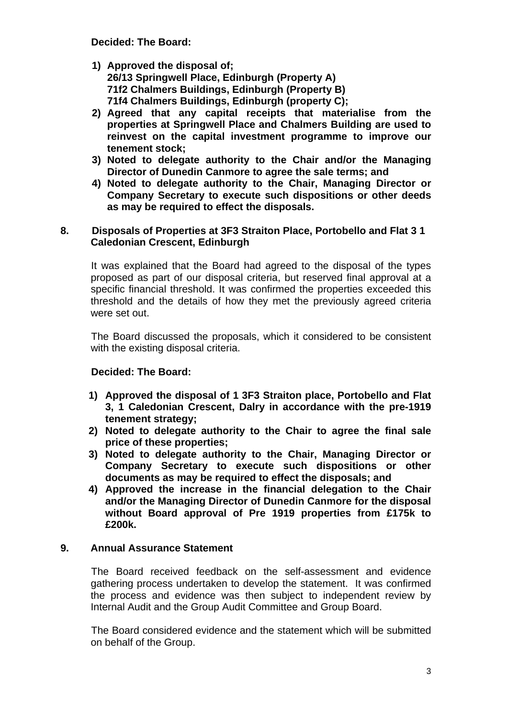**Decided: The Board:** 

- **1) Approved the disposal of; 26/13 Springwell Place, Edinburgh (Property A) 71f2 Chalmers Buildings, Edinburgh (Property B) 71f4 Chalmers Buildings, Edinburgh (property C);**
- **2) Agreed that any capital receipts that materialise from the properties at Springwell Place and Chalmers Building are used to reinvest on the capital investment programme to improve our tenement stock;**
- **3) Noted to delegate authority to the Chair and/or the Managing Director of Dunedin Canmore to agree the sale terms; and**
- **4) Noted to delegate authority to the Chair, Managing Director or Company Secretary to execute such dispositions or other deeds as may be required to effect the disposals.**

# **8. Disposals of Properties at 3F3 Straiton Place, Portobello and Flat 3 1 Caledonian Crescent, Edinburgh**

It was explained that the Board had agreed to the disposal of the types proposed as part of our disposal criteria, but reserved final approval at a specific financial threshold. It was confirmed the properties exceeded this threshold and the details of how they met the previously agreed criteria were set out.

The Board discussed the proposals, which it considered to be consistent with the existing disposal criteria.

# **Decided: The Board:**

- **1) Approved the disposal of 1 3F3 Straiton place, Portobello and Flat 3, 1 Caledonian Crescent, Dalry in accordance with the pre-1919 tenement strategy;**
- **2) Noted to delegate authority to the Chair to agree the final sale price of these properties;**
- **3) Noted to delegate authority to the Chair, Managing Director or Company Secretary to execute such dispositions or other documents as may be required to effect the disposals; and**
- **4) Approved the increase in the financial delegation to the Chair and/or the Managing Director of Dunedin Canmore for the disposal without Board approval of Pre 1919 properties from £175k to £200k.**

# **9. Annual Assurance Statement**

The Board received feedback on the self-assessment and evidence gathering process undertaken to develop the statement. It was confirmed the process and evidence was then subject to independent review by Internal Audit and the Group Audit Committee and Group Board.

The Board considered evidence and the statement which will be submitted on behalf of the Group.